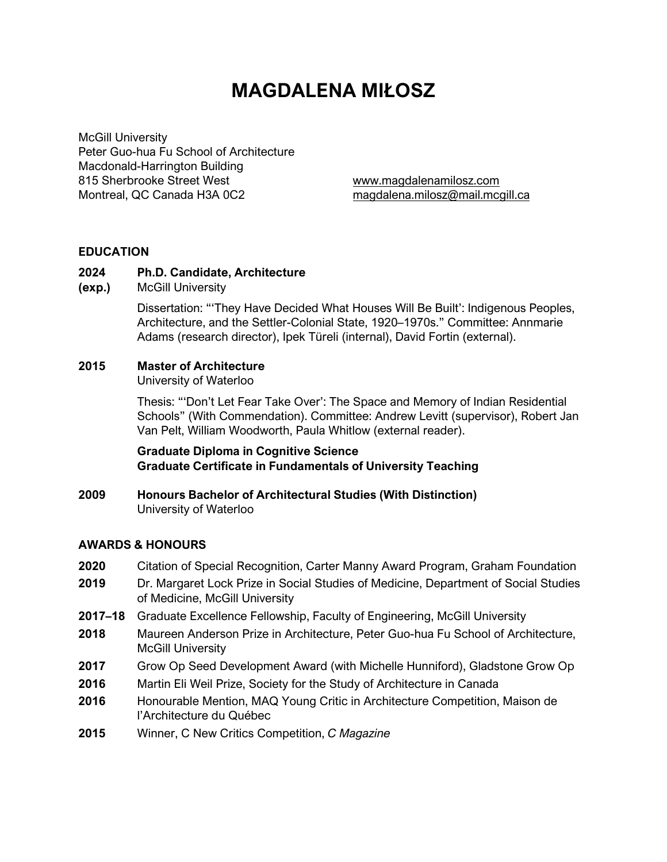# **MAGDALENA MIŁOSZ**

McGill University Peter Guo-hua Fu School of Architecture Macdonald-Harrington Building 815 Sherbrooke Street West www.magdalenamilosz.com Montreal, QC Canada H3A 0C2 magdalena.milosz@mail.mcgill.ca

#### **EDUCATION**

#### **2024 Ph.D. Candidate, Architecture**

**(exp.)** McGill University

 Dissertation: "'They Have Decided What Houses Will Be Built': Indigenous Peoples, Architecture, and the Settler-Colonial State, 1920–1970s." Committee: Annmarie Adams (research director), Ipek Türeli (internal), David Fortin (external).

#### **2015 Master of Architecture**

University of Waterloo

 Thesis: "'Don't Let Fear Take Over': The Space and Memory of Indian Residential Schools" (With Commendation). Committee: Andrew Levitt (supervisor), Robert Jan Van Pelt, William Woodworth, Paula Whitlow (external reader).

**Graduate Diploma in Cognitive Science Graduate Certificate in Fundamentals of University Teaching** 

**2009 Honours Bachelor of Architectural Studies (With Distinction)**  University of Waterloo

#### **AWARDS & HONOURS**

- **2020** Citation of Special Recognition, Carter Manny Award Program, Graham Foundation
- **2019** Dr. Margaret Lock Prize in Social Studies of Medicine, Department of Social Studies of Medicine, McGill University
- **2017–18** Graduate Excellence Fellowship, Faculty of Engineering, McGill University
- **2018** Maureen Anderson Prize in Architecture, Peter Guo-hua Fu School of Architecture, McGill University
- **2017** Grow Op Seed Development Award (with Michelle Hunniford), Gladstone Grow Op
- **2016** Martin Eli Weil Prize, Society for the Study of Architecture in Canada
- **2016** Honourable Mention, MAQ Young Critic in Architecture Competition, Maison de l'Architecture du Québec
- **2015** Winner, C New Critics Competition, *C Magazine*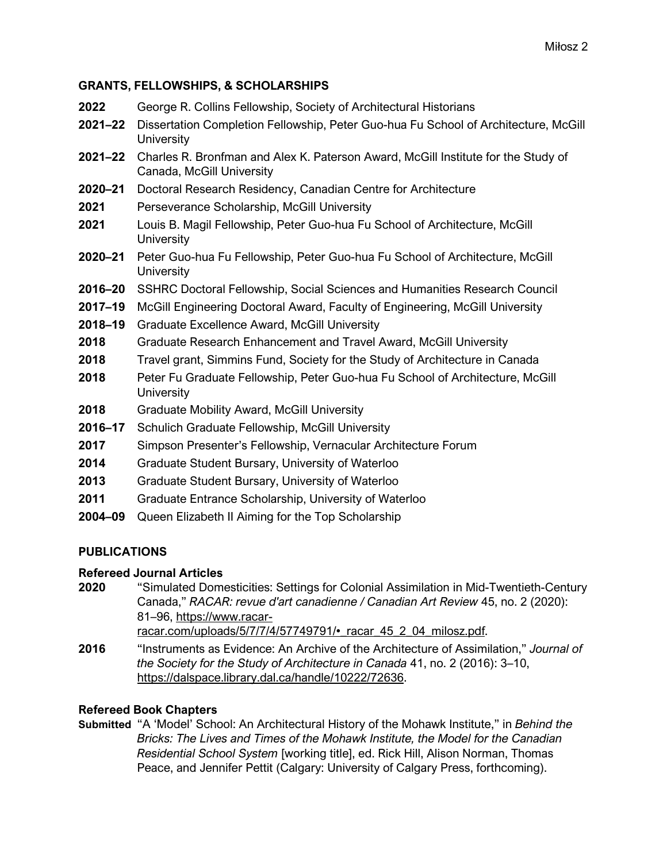## **GRANTS, FELLOWSHIPS, & SCHOLARSHIPS**

| 2022        | George R. Collins Fellowship, Society of Architectural Historians                                              |
|-------------|----------------------------------------------------------------------------------------------------------------|
| $2021 - 22$ | Dissertation Completion Fellowship, Peter Guo-hua Fu School of Architecture, McGill<br>University              |
| $2021 - 22$ | Charles R. Bronfman and Alex K. Paterson Award, McGill Institute for the Study of<br>Canada, McGill University |
| $2020 - 21$ | Doctoral Research Residency, Canadian Centre for Architecture                                                  |
| 2021        | Perseverance Scholarship, McGill University                                                                    |
| 2021        | Louis B. Magil Fellowship, Peter Guo-hua Fu School of Architecture, McGill<br>University                       |
| $2020 - 21$ | Peter Guo-hua Fu Fellowship, Peter Guo-hua Fu School of Architecture, McGill<br><b>University</b>              |
| 2016-20     | SSHRC Doctoral Fellowship, Social Sciences and Humanities Research Council                                     |
| 2017-19     | McGill Engineering Doctoral Award, Faculty of Engineering, McGill University                                   |
| 2018-19     | <b>Graduate Excellence Award, McGill University</b>                                                            |
| 2018        | Graduate Research Enhancement and Travel Award, McGill University                                              |
| 2018        | Travel grant, Simmins Fund, Society for the Study of Architecture in Canada                                    |
| 2018        | Peter Fu Graduate Fellowship, Peter Guo-hua Fu School of Architecture, McGill<br><b>University</b>             |
| 2018        | <b>Graduate Mobility Award, McGill University</b>                                                              |
| 2016-17     | Schulich Graduate Fellowship, McGill University                                                                |
| 2017        | Simpson Presenter's Fellowship, Vernacular Architecture Forum                                                  |
| 2014        | Graduate Student Bursary, University of Waterloo                                                               |
| 2013        | Graduate Student Bursary, University of Waterloo                                                               |
| 2011        | Graduate Entrance Scholarship, University of Waterloo                                                          |
| 2004-09     | Queen Elizabeth II Aiming for the Top Scholarship                                                              |
|             |                                                                                                                |

# **PUBLICATIONS**

# **Refereed Journal Articles**

- **2020** "Simulated Domesticities: Settings for Colonial Assimilation in Mid-Twentieth-Century Canada," *RACAR: revue d'art canadienne / Canadian Art Review* 45, no. 2 (2020): 81–96, https://www.racarracar.com/uploads/5/7/7/4/57749791/• racar 45 2 04 milosz.pdf.
- **2016** "Instruments as Evidence: An Archive of the Architecture of Assimilation," *Journal of the Society for the Study of Architecture in Canada* 41, no. 2 (2016): 3–10, https://dalspace.library.dal.ca/handle/10222/72636.

# **Refereed Book Chapters**

**Submitted** "A 'Model' School: An Architectural History of the Mohawk Institute," in *Behind the Bricks: The Lives and Times of the Mohawk Institute, the Model for the Canadian Residential School System* [working title], ed. Rick Hill, Alison Norman, Thomas Peace, and Jennifer Pettit (Calgary: University of Calgary Press, forthcoming).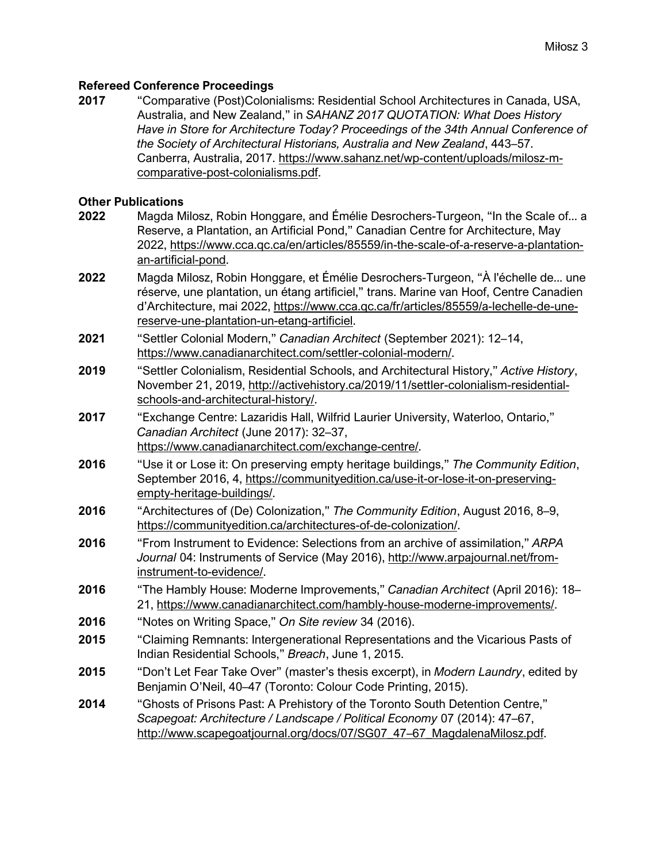#### **Refereed Conference Proceedings**

**2017** "Comparative (Post)Colonialisms: Residential School Architectures in Canada, USA, Australia, and New Zealand," in *SAHANZ 2017 QUOTATION: What Does History Have in Store for Architecture Today? Proceedings of the 34th Annual Conference of the Society of Architectural Historians, Australia and New Zealand*, 443–57. Canberra, Australia, 2017. https://www.sahanz.net/wp-content/uploads/milosz-mcomparative-post-colonialisms.pdf.

#### **Other Publications**

- **2022** Magda Milosz, Robin Honggare, and Émélie Desrochers-Turgeon, "In the Scale of... a Reserve, a Plantation, an Artificial Pond," Canadian Centre for Architecture, May 2022, https://www.cca.qc.ca/en/articles/85559/in-the-scale-of-a-reserve-a-plantationan-artificial-pond.
- **2022** Magda Milosz, Robin Honggare, et Émélie Desrochers-Turgeon, "À l'échelle de... une réserve, une plantation, un étang artificiel," trans. Marine van Hoof, Centre Canadien d'Architecture, mai 2022, https://www.cca.qc.ca/fr/articles/85559/a-lechelle-de-unereserve-une-plantation-un-etang-artificiel.
- **2021** "Settler Colonial Modern," *Canadian Architect* (September 2021): 12–14, https://www.canadianarchitect.com/settler-colonial-modern/.
- **2019** "Settler Colonialism, Residential Schools, and Architectural History," *Active History*, November 21, 2019, http://activehistory.ca/2019/11/settler-colonialism-residentialschools-and-architectural-history/.
- **2017** "Exchange Centre: Lazaridis Hall, Wilfrid Laurier University, Waterloo, Ontario," *Canadian Architect* (June 2017): 32–37, https://www.canadianarchitect.com/exchange-centre/.
- **2016** "Use it or Lose it: On preserving empty heritage buildings," *The Community Edition*, September 2016, 4, https://communityedition.ca/use-it-or-lose-it-on-preservingempty-heritage-buildings/.
- **2016** "Architectures of (De) Colonization," *The Community Edition*, August 2016, 8–9, https://communityedition.ca/architectures-of-de-colonization/.
- **2016** "From Instrument to Evidence: Selections from an archive of assimilation," *ARPA Journal* 04: Instruments of Service (May 2016), http://www.arpajournal.net/frominstrument-to-evidence/.
- **2016** "The Hambly House: Moderne Improvements," *Canadian Architect* (April 2016): 18– 21, https://www.canadianarchitect.com/hambly-house-moderne-improvements/.
- **2016** "Notes on Writing Space," *On Site review* 34 (2016).
- **2015** "Claiming Remnants: Intergenerational Representations and the Vicarious Pasts of Indian Residential Schools," *Breach*, June 1, 2015.
- **2015** "Don't Let Fear Take Over" (master's thesis excerpt), in *Modern Laundry*, edited by Benjamin O'Neil, 40–47 (Toronto: Colour Code Printing, 2015).
- **2014** "Ghosts of Prisons Past: A Prehistory of the Toronto South Detention Centre," *Scapegoat: Architecture / Landscape / Political Economy* 07 (2014): 47–67, http://www.scapegoatjournal.org/docs/07/SG07\_47-67\_MagdalenaMilosz.pdf.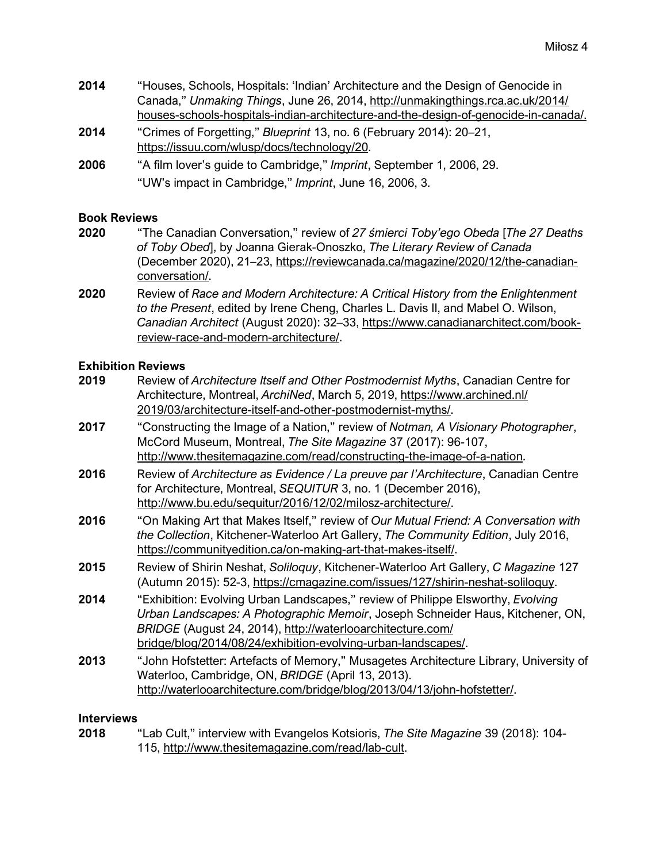- **2014** "Houses, Schools, Hospitals: 'Indian' Architecture and the Design of Genocide in Canada," *Unmaking Things*, June 26, 2014, http://unmakingthings.rca.ac.uk/2014/ houses-schools-hospitals-indian-architecture-and-the-design-of-genocide-in-canada/.
- **2014** "Crimes of Forgetting," *Blueprint* 13, no. 6 (February 2014): 20–21, https://issuu.com/wlusp/docs/technology/20.
- **2006** "A film lover's guide to Cambridge," *Imprint*, September 1, 2006, 29. "UW's impact in Cambridge," *Imprint*, June 16, 2006, 3.

#### **Book Reviews**

- **2020** "The Canadian Conversation," review of *27 śmierci Toby'ego Obeda* [*The 27 Deaths of Toby Obed*], by Joanna Gierak-Onoszko, *The Literary Review of Canada*  (December 2020), 21–23, https://reviewcanada.ca/magazine/2020/12/the-canadianconversation/.
- **2020** Review of *Race and Modern Architecture: A Critical History from the Enlightenment to the Present*, edited by Irene Cheng, Charles L. Davis II, and Mabel O. Wilson, *Canadian Architect* (August 2020): 32–33, https://www.canadianarchitect.com/bookreview-race-and-modern-architecture/.

#### **Exhibition Reviews**

| 2019 | Review of Architecture Itself and Other Postmodernist Myths, Canadian Centre for<br>Architecture, Montreal, ArchiNed, March 5, 2019, https://www.archined.nl/<br>2019/03/architecture-itself-and-other-postmodernist-myths/.                                                                     |
|------|--------------------------------------------------------------------------------------------------------------------------------------------------------------------------------------------------------------------------------------------------------------------------------------------------|
| 2017 | "Constructing the Image of a Nation," review of Notman, A Visionary Photographer,<br>McCord Museum, Montreal, The Site Magazine 37 (2017): 96-107,<br>http://www.thesitemagazine.com/read/constructing-the-image-of-a-nation.                                                                    |
| 2016 | Review of Architecture as Evidence / La preuve par l'Architecture, Canadian Centre<br>for Architecture, Montreal, SEQUITUR 3, no. 1 (December 2016),<br>http://www.bu.edu/sequitur/2016/12/02/milosz-architecture/.                                                                              |
| 2016 | "On Making Art that Makes Itself," review of Our Mutual Friend: A Conversation with<br>the Collection, Kitchener-Waterloo Art Gallery, The Community Edition, July 2016,<br>https://communityedition.ca/on-making-art-that-makes-itself/.                                                        |
| 2015 | Review of Shirin Neshat, Soliloquy, Kitchener-Waterloo Art Gallery, C Magazine 127<br>(Autumn 2015): 52-3, https://cmagazine.com/issues/127/shirin-neshat-soliloquy.                                                                                                                             |
| 2014 | "Exhibition: Evolving Urban Landscapes," review of Philippe Elsworthy, Evolving<br>Urban Landscapes: A Photographic Memoir, Joseph Schneider Haus, Kitchener, ON,<br>BRIDGE (August 24, 2014), http://waterlooarchitecture.com/<br>bridge/blog/2014/08/24/exhibition-evolving-urban-landscapes/. |
| 2013 | "John Hofstetter: Artefacts of Memory," Musagetes Architecture Library, University of<br>Waterloo, Cambridge, ON, BRIDGE (April 13, 2013).<br>http://waterlooarchitecture.com/bridge/blog/2013/04/13/john-hofstetter/.                                                                           |

#### **Interviews**

**2018** "Lab Cult," interview with Evangelos Kotsioris, *The Site Magazine* 39 (2018): 104- 115, http://www.thesitemagazine.com/read/lab-cult.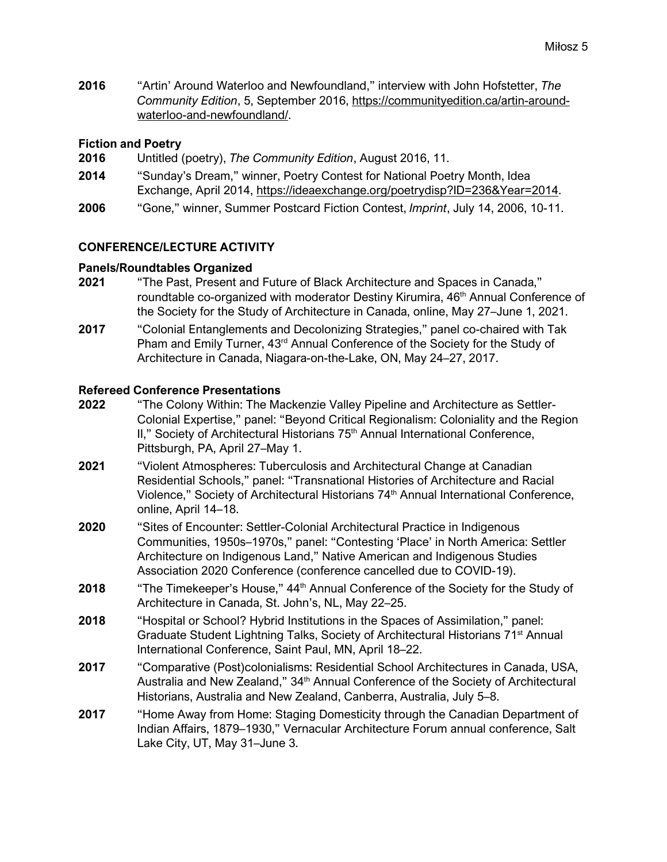**2016** "Artin' Around Waterloo and Newfoundland," interview with John Hofstetter, *The Community Edition*, 5, September 2016, https://communityedition.ca/artin-aroundwaterloo-and-newfoundland/.

## **Fiction and Poetry**

- **2016** Untitled (poetry), *The Community Edition*, August 2016, 11.
- **2014** "Sunday's Dream," winner, Poetry Contest for National Poetry Month, Idea Exchange, April 2014, https://ideaexchange.org/poetrydisp?ID=236&Year=2014.
- **2006** "Gone," winner, Summer Postcard Fiction Contest, *Imprint*, July 14, 2006, 10-11.

# **CONFERENCE/LECTURE ACTIVITY**

#### **Panels/Roundtables Organized**

- **2021** "The Past, Present and Future of Black Architecture and Spaces in Canada," roundtable co-organized with moderator Destiny Kirumira, 46<sup>th</sup> Annual Conference of the Society for the Study of Architecture in Canada, online, May 27–June 1, 2021.
- **2017** "Colonial Entanglements and Decolonizing Strategies," panel co-chaired with Tak Pham and Emily Turner, 43<sup>rd</sup> Annual Conference of the Society for the Study of Architecture in Canada, Niagara-on-the-Lake, ON, May 24–27, 2017.

# **Refereed Conference Presentations**

- **2022** "The Colony Within: The Mackenzie Valley Pipeline and Architecture as Settler-Colonial Expertise," panel: "Beyond Critical Regionalism: Coloniality and the Region II," Society of Architectural Historians 75<sup>th</sup> Annual International Conference, Pittsburgh, PA, April 27–May 1.
- **2021** "Violent Atmospheres: Tuberculosis and Architectural Change at Canadian Residential Schools," panel: "Transnational Histories of Architecture and Racial Violence," Society of Architectural Historians 74<sup>th</sup> Annual International Conference, online, April 14–18.
- **2020** "Sites of Encounter: Settler-Colonial Architectural Practice in Indigenous Communities, 1950s–1970s," panel: "Contesting 'Place' in North America: Settler Architecture on Indigenous Land," Native American and Indigenous Studies Association 2020 Conference (conference cancelled due to COVID-19).
- **2018** "The Timekeeper's House," 44<sup>th</sup> Annual Conference of the Society for the Study of Architecture in Canada, St. John's, NL, May 22–25.
- **2018** "Hospital or School? Hybrid Institutions in the Spaces of Assimilation," panel: Graduate Student Lightning Talks, Society of Architectural Historians 71<sup>st</sup> Annual International Conference, Saint Paul, MN, April 18–22.
- **2017** "Comparative (Post)colonialisms: Residential School Architectures in Canada, USA, Australia and New Zealand," 34<sup>th</sup> Annual Conference of the Society of Architectural Historians, Australia and New Zealand, Canberra, Australia, July 5–8.
- **2017** "Home Away from Home: Staging Domesticity through the Canadian Department of Indian Affairs, 1879–1930," Vernacular Architecture Forum annual conference, Salt Lake City, UT, May 31–June 3.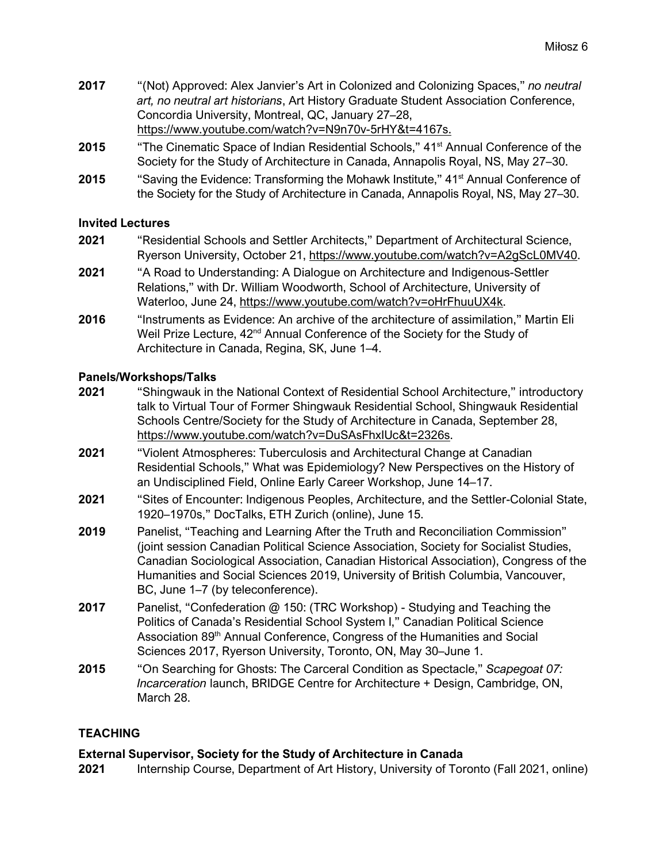- **2017** "(Not) Approved: Alex Janvier's Art in Colonized and Colonizing Spaces," *no neutral art, no neutral art historians*, Art History Graduate Student Association Conference, Concordia University, Montreal, QC, January 27–28, https://www.youtube.com/watch?v=N9n70v-5rHY&t=4167s.
- **2015** "The Cinematic Space of Indian Residential Schools," 41<sup>st</sup> Annual Conference of the Society for the Study of Architecture in Canada, Annapolis Royal, NS, May 27–30.
- **2015** "Saving the Evidence: Transforming the Mohawk Institute," 41<sup>st</sup> Annual Conference of the Society for the Study of Architecture in Canada, Annapolis Royal, NS, May 27–30.

# **Invited Lectures**

- **2021** "Residential Schools and Settler Architects," Department of Architectural Science, Ryerson University, October 21, https://www.youtube.com/watch?v=A2gScL0MV40.
- **2021** "A Road to Understanding: A Dialogue on Architecture and Indigenous-Settler Relations," with Dr. William Woodworth, School of Architecture, University of Waterloo, June 24, https://www.youtube.com/watch?v=oHrFhuuUX4k.
- **2016** "Instruments as Evidence: An archive of the architecture of assimilation," Martin Eli Weil Prize Lecture, 42<sup>nd</sup> Annual Conference of the Society for the Study of Architecture in Canada, Regina, SK, June 1–4.

# **Panels/Workshops/Talks**

- **2021** "Shingwauk in the National Context of Residential School Architecture," introductory talk to Virtual Tour of Former Shingwauk Residential School, Shingwauk Residential Schools Centre/Society for the Study of Architecture in Canada, September 28, https://www.youtube.com/watch?v=DuSAsFhxIUc&t=2326s.
- **2021** "Violent Atmospheres: Tuberculosis and Architectural Change at Canadian Residential Schools," What was Epidemiology? New Perspectives on the History of an Undisciplined Field, Online Early Career Workshop, June 14–17.
- **2021** "Sites of Encounter: Indigenous Peoples, Architecture, and the Settler-Colonial State, 1920–1970s," DocTalks, ETH Zurich (online), June 15.
- **2019** Panelist, "Teaching and Learning After the Truth and Reconciliation Commission" (joint session Canadian Political Science Association, Society for Socialist Studies, Canadian Sociological Association, Canadian Historical Association), Congress of the Humanities and Social Sciences 2019, University of British Columbia, Vancouver, BC, June 1–7 (by teleconference).
- **2017** Panelist, "Confederation @ 150: (TRC Workshop) Studying and Teaching the Politics of Canada's Residential School System I," Canadian Political Science Association 89<sup>th</sup> Annual Conference, Congress of the Humanities and Social Sciences 2017, Ryerson University, Toronto, ON, May 30–June 1.
- **2015** "On Searching for Ghosts: The Carceral Condition as Spectacle," *Scapegoat 07: Incarceration* launch, BRIDGE Centre for Architecture + Design, Cambridge, ON, March 28.

# **TEACHING**

# **External Supervisor, Society for the Study of Architecture in Canada**

**2021** Internship Course, Department of Art History, University of Toronto (Fall 2021, online)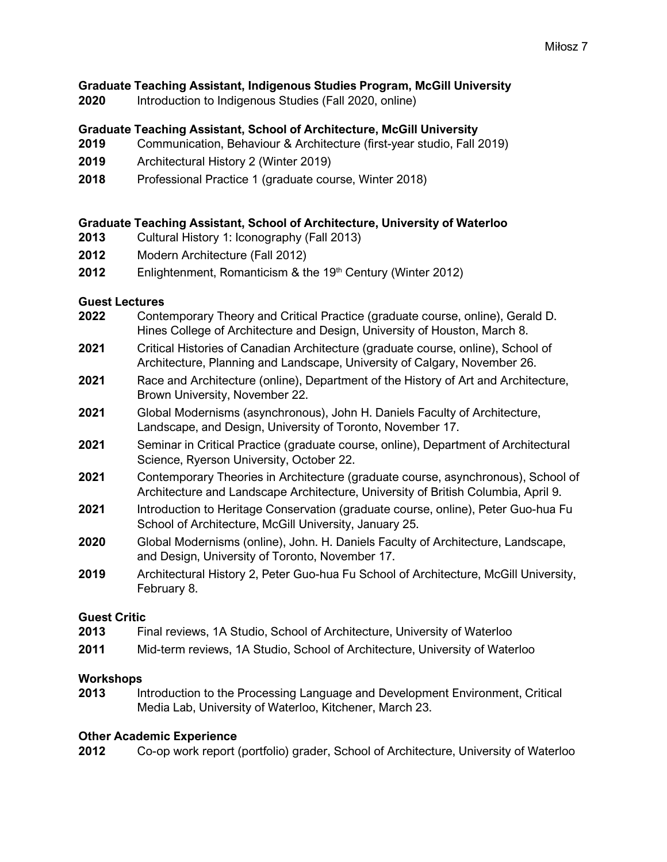## **Graduate Teaching Assistant, Indigenous Studies Program, McGill University**

**2020** Introduction to Indigenous Studies (Fall 2020, online)

## **Graduate Teaching Assistant, School of Architecture, McGill University**

- **2019** Communication, Behaviour & Architecture (first-year studio, Fall 2019)
- **2019** Architectural History 2 (Winter 2019)
- **2018** Professional Practice 1 (graduate course, Winter 2018)

#### **Graduate Teaching Assistant, School of Architecture, University of Waterloo**

- **2013** Cultural History 1: Iconography (Fall 2013)
- **2012** Modern Architecture (Fall 2012)
- **2012** Enlightenment, Romanticism & the 19<sup>th</sup> Century (Winter 2012)

#### **Guest Lectures**

- **2022** Contemporary Theory and Critical Practice (graduate course, online), Gerald D. Hines College of Architecture and Design, University of Houston, March 8.
- **2021** Critical Histories of Canadian Architecture (graduate course, online), School of Architecture, Planning and Landscape, University of Calgary, November 26.
- **2021** Race and Architecture (online), Department of the History of Art and Architecture, Brown University, November 22.
- **2021** Global Modernisms (asynchronous), John H. Daniels Faculty of Architecture, Landscape, and Design, University of Toronto, November 17.
- **2021** Seminar in Critical Practice (graduate course, online), Department of Architectural Science, Ryerson University, October 22.
- **2021** Contemporary Theories in Architecture (graduate course, asynchronous), School of Architecture and Landscape Architecture, University of British Columbia, April 9.
- **2021** Introduction to Heritage Conservation (graduate course, online), Peter Guo-hua Fu School of Architecture, McGill University, January 25.
- **2020** Global Modernisms (online), John. H. Daniels Faculty of Architecture, Landscape, and Design, University of Toronto, November 17.
- **2019** Architectural History 2, Peter Guo-hua Fu School of Architecture, McGill University, February 8.

#### **Guest Critic**

- **2013** Final reviews, 1A Studio, School of Architecture, University of Waterloo
- **2011** Mid-term reviews, 1A Studio, School of Architecture, University of Waterloo

#### **Workshops**

**2013** Introduction to the Processing Language and Development Environment, Critical Media Lab, University of Waterloo, Kitchener, March 23.

#### **Other Academic Experience**

**2012** Co-op work report (portfolio) grader, School of Architecture, University of Waterloo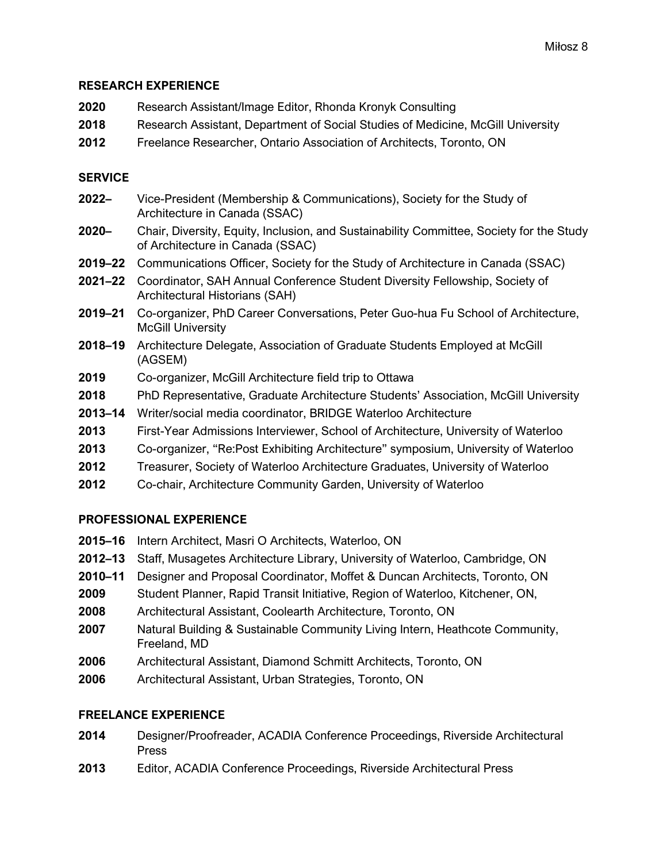#### **RESEARCH EXPERIENCE**

| 2020 | Research Assistant/Image Editor, Rhonda Kronyk Consulting                       |
|------|---------------------------------------------------------------------------------|
| 2018 | Research Assistant, Department of Social Studies of Medicine, McGill University |
| 2012 | Freelance Researcher, Ontario Association of Architects, Toronto, ON            |

## **SERVICE**

- **2022–** Vice-President (Membership & Communications), Society for the Study of Architecture in Canada (SSAC)
- **2020–** Chair, Diversity, Equity, Inclusion, and Sustainability Committee, Society for the Study of Architecture in Canada (SSAC)
- **2019–22** Communications Officer, Society for the Study of Architecture in Canada (SSAC)
- **2021–22** Coordinator, SAH Annual Conference Student Diversity Fellowship, Society of Architectural Historians (SAH)
- **2019–21** Co-organizer, PhD Career Conversations, Peter Guo-hua Fu School of Architecture, McGill University
- **2018–19** Architecture Delegate, Association of Graduate Students Employed at McGill (AGSEM)
- **2019** Co-organizer, McGill Architecture field trip to Ottawa
- **2018** PhD Representative, Graduate Architecture Students' Association, McGill University
- **2013–14** Writer/social media coordinator, BRIDGE Waterloo Architecture
- **2013** First-Year Admissions Interviewer, School of Architecture, University of Waterloo
- **2013** Co-organizer, "Re:Post Exhibiting Architecture" symposium, University of Waterloo
- **2012** Treasurer, Society of Waterloo Architecture Graduates, University of Waterloo
- **2012** Co-chair, Architecture Community Garden, University of Waterloo

# **PROFESSIONAL EXPERIENCE**

- **2015–16** Intern Architect, Masri O Architects, Waterloo, ON
- **2012–13** Staff, Musagetes Architecture Library, University of Waterloo, Cambridge, ON
- **2010–11** Designer and Proposal Coordinator, Moffet & Duncan Architects, Toronto, ON
- **2009** Student Planner, Rapid Transit Initiative, Region of Waterloo, Kitchener, ON,
- **2008** Architectural Assistant, Coolearth Architecture, Toronto, ON
- **2007** Natural Building & Sustainable Community Living Intern, Heathcote Community, Freeland, MD
- **2006** Architectural Assistant, Diamond Schmitt Architects, Toronto, ON
- **2006** Architectural Assistant, Urban Strategies, Toronto, ON

# **FREELANCE EXPERIENCE**

- **2014** Designer/Proofreader, ACADIA Conference Proceedings, Riverside Architectural Press
- **2013** Editor, ACADIA Conference Proceedings, Riverside Architectural Press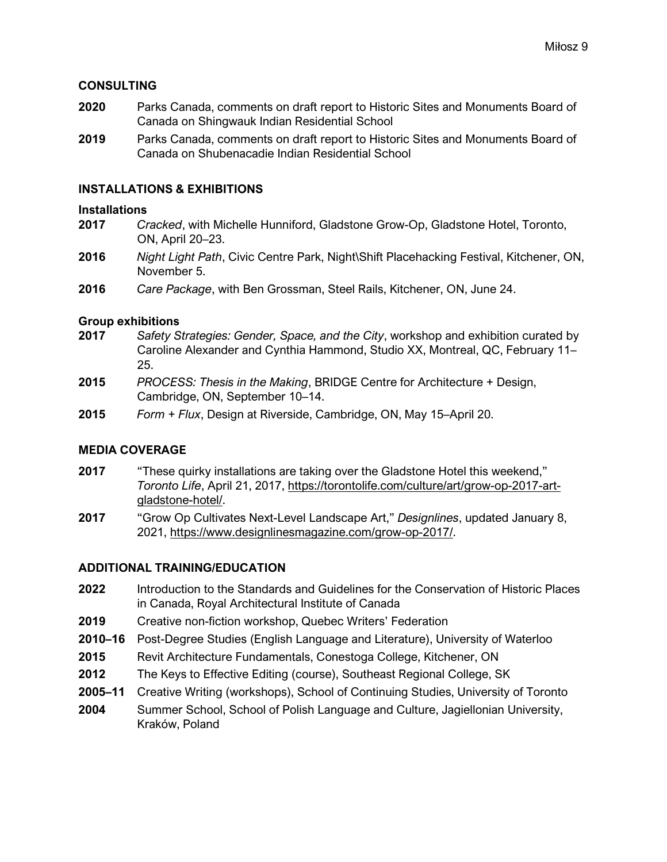#### **CONSULTING**

- **2020** Parks Canada, comments on draft report to Historic Sites and Monuments Board of Canada on Shingwauk Indian Residential School
- **2019** Parks Canada, comments on draft report to Historic Sites and Monuments Board of Canada on Shubenacadie Indian Residential School

#### **INSTALLATIONS & EXHIBITIONS**

#### **Installations**

- **2017** *Cracked*, with Michelle Hunniford, Gladstone Grow-Op, Gladstone Hotel, Toronto, ON, April 20–23.
- **2016** *Night Light Path*, Civic Centre Park, Night\Shift Placehacking Festival, Kitchener, ON, November 5.
- **2016** *Care Package*, with Ben Grossman, Steel Rails, Kitchener, ON, June 24.

#### **Group exhibitions**

- **2017** *Safety Strategies: Gender, Space, and the City*, workshop and exhibition curated by Caroline Alexander and Cynthia Hammond, Studio XX, Montreal, QC, February 11– 25.
- **2015** *PROCESS: Thesis in the Making*, BRIDGE Centre for Architecture + Design, Cambridge, ON, September 10–14.
- **2015** *Form + Flux*, Design at Riverside, Cambridge, ON, May 15–April 20.

#### **MEDIA COVERAGE**

- **2017** "These quirky installations are taking over the Gladstone Hotel this weekend," *Toronto Life*, April 21, 2017, https://torontolife.com/culture/art/grow-op-2017-artgladstone-hotel/.
- **2017** "Grow Op Cultivates Next-Level Landscape Art," *Designlines*, updated January 8, 2021, https://www.designlinesmagazine.com/grow-op-2017/.

#### **ADDITIONAL TRAINING/EDUCATION**

- **2022** Introduction to the Standards and Guidelines for the Conservation of Historic Places in Canada, Royal Architectural Institute of Canada
- **2019** Creative non-fiction workshop, Quebec Writers' Federation
- **2010–16** Post-Degree Studies (English Language and Literature), University of Waterloo
- **2015** Revit Architecture Fundamentals, Conestoga College, Kitchener, ON
- **2012** The Keys to Effective Editing (course), Southeast Regional College, SK
- **2005–11** Creative Writing (workshops), School of Continuing Studies, University of Toronto
- **2004** Summer School, School of Polish Language and Culture, Jagiellonian University, Kraków, Poland